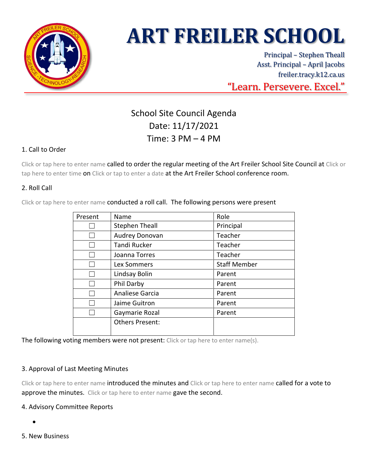

# **ART FREILER SCHOOL**

Principal – Stephen Theall Asst. Principal – April Jacobs freiler.tracy.k12.ca.us "Learn. Persevere. Excel."

# School Site Council Agenda Date: 11/17/2021 Time: 3 PM – 4 PM

# 1. Call to Order

Click or tap here to enter name called to order the regular meeting of the Art Freiler School Site Council at Click or tap here to enter time on Click or tap to enter a date at the Art Freiler School conference room.

# 2. Roll Call

Click or tap here to enter name conducted a roll call. The following persons were present

| Present | Name                   | Role                |
|---------|------------------------|---------------------|
|         | <b>Stephen Theall</b>  | Principal           |
|         | Audrey Donovan         | Teacher             |
|         | <b>Tandi Rucker</b>    | Teacher             |
|         | Joanna Torres          | Teacher             |
|         | Lex Sommers            | <b>Staff Member</b> |
|         | Lindsay Bolin          | Parent              |
|         | Phil Darby             | Parent              |
|         | Analiese Garcia        | Parent              |
|         | Jaime Guitron          | Parent              |
|         | Gaymarie Rozal         | Parent              |
|         | <b>Others Present:</b> |                     |
|         |                        |                     |

The following voting members were not present: Click or tap here to enter name(s).

### 3. Approval of Last Meeting Minutes

Click or tap here to enter name introduced the minutes and Click or tap here to enter name called for a vote to approve the minutes. Click or tap here to enter name gave the second.

### 4. Advisory Committee Reports

- •
- 5. New Business